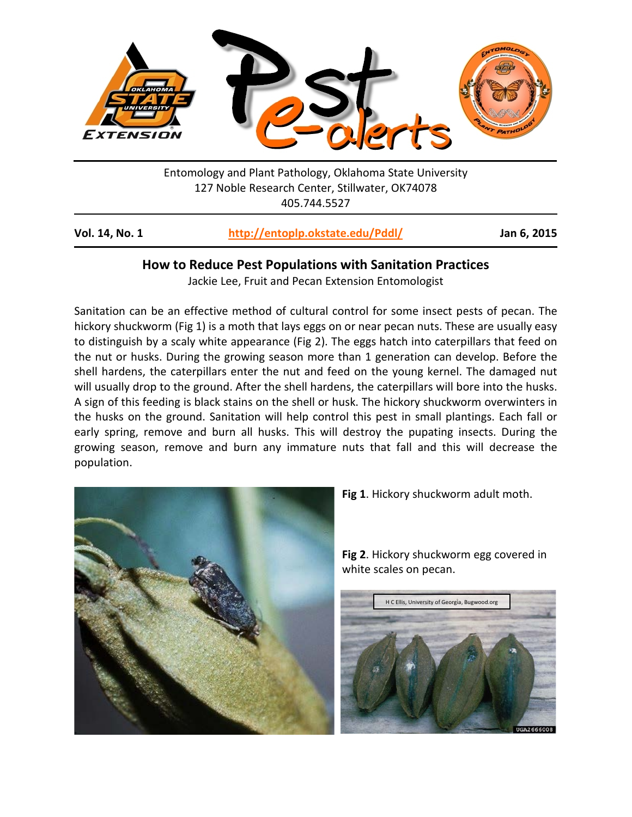

Entomology and Plant Pathology, Oklahoma State University 127 Noble Research Center, Stillwater, OK74078 405.744.5527

## **How to Reduce Pest Populations with Sanitation Practices**

Jackie Lee, Fruit and Pecan Extension Entomologist

Sanitation can be an effective method of cultural control for some insect pests of pecan. The hickory shuckworm (Fig 1) is a moth that lays eggs on or near pecan nuts. These are usually easy to distinguish by a scaly white appearance (Fig 2). The eggs hatch into caterpillars that feed on the nut or husks. During the growing season more than 1 generation can develop. Before the shell hardens, the caterpillars enter the nut and feed on the young kernel. The damaged nut will usually drop to the ground. After the shell hardens, the caterpillars will bore into the husks. A sign of this feeding is black stains on the shell or husk. The hickory shuckworm overwinters in the husks on the ground. Sanitation will help control this pest in small plantings. Each fall or early spring, remove and burn all husks. This will destroy the pupating insects. During the growing season, remove and burn any immature nuts that fall and this will decrease the population.



**Fig 1**. Hickory shuckworm adult moth.

H C Ellis, University of Georgia, Bugwood.org

**Fig 2**. Hickory shuckworm egg covered in white scales on pecan.